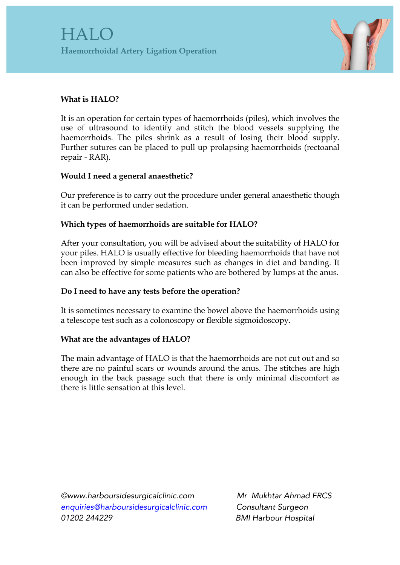

# **What is HALO?**

It is an operation for certain types of haemorrhoids (piles), which involves the use of ultrasound to identify and stitch the blood vessels supplying the haemorrhoids. The piles shrink as a result of losing their blood supply. Further sutures can be placed to pull up prolapsing haemorrhoids (rectoanal repair - RAR).

## **Would I need a general anaesthetic?**

Our preference is to carry out the procedure under general anaesthetic though it can be performed under sedation.

## **Which types of haemorrhoids are suitable for HALO?**

After your consultation, you will be advised about the suitability of HALO for your piles. HALO is usually effective for bleeding haemorrhoids that have not been improved by simple measures such as changes in diet and banding. It can also be effective for some patients who are bothered by lumps at the anus.

## **Do I need to have any tests before the operation?**

It is sometimes necessary to examine the bowel above the haemorrhoids using a telescope test such as a colonoscopy or flexible sigmoidoscopy.

## **What are the advantages of HALO?**

The main advantage of HALO is that the haemorrhoids are not cut out and so there are no painful scars or wounds around the anus. The stitches are high enough in the back passage such that there is only minimal discomfort as there is little sensation at this level.

*©www.harboursidesurgicalclinic.com Mr Mukhtar Ahmad FRCS enquiries@harboursidesurgicalclinic.com Consultant Surgeon 01202 244229 BMI Harbour Hospital*